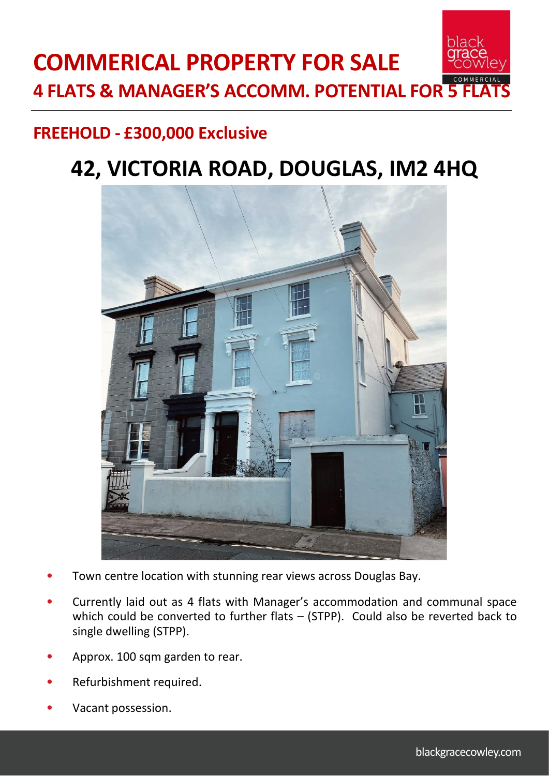## **FREEHOLD - £300,000 Exclusive**

# **42, VICTORIA ROAD, DOUGLAS, IM2 4HQ**



- Town centre location with stunning rear views across Douglas Bay.
- Currently laid out as 4 flats with Manager's accommodation and communal space which could be converted to further flats – (STPP). Could also be reverted back to single dwelling (STPP).
- Approx. 100 sqm garden to rear.
- Refurbishment required.
- Vacant possession.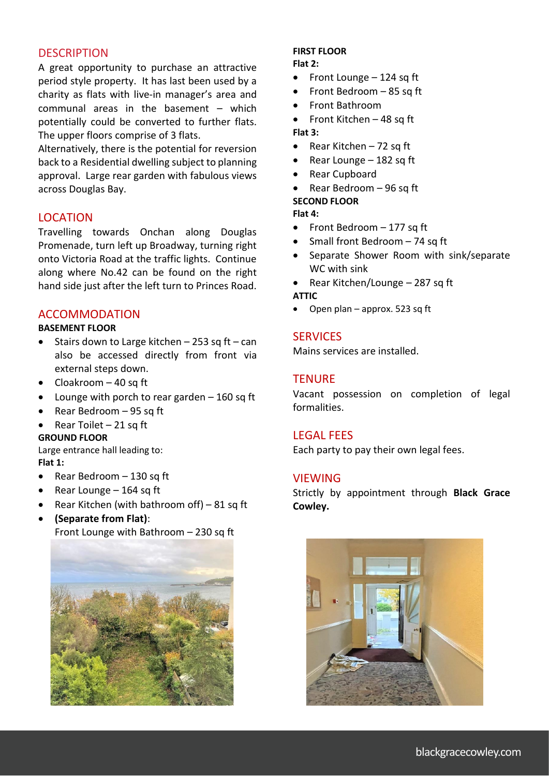#### **DESCRIPTION**

A great opportunity to purchase an attractive period style property. It has last been used by a charity as flats with live-in manager's area and communal areas in the basement – which potentially could be converted to further flats. The upper floors comprise of 3 flats.

Alternatively, there is the potential for reversion back to a Residential dwelling subject to planning approval. Large rear garden with fabulous views across Douglas Bay.

### LOCATION

Travelling towards Onchan along Douglas Promenade, turn left up Broadway, turning right onto Victoria Road at the traffic lights. Continue along where No.42 can be found on the right hand side just after the left turn to Princes Road.

#### ACCOMMODATION

#### **BASEMENT FLOOR**

- Stairs down to Large kitchen  $-$  253 sq ft  $-$  can also be accessed directly from front via external steps down.
- $\bullet$  Cloakroom  $-40$  sq ft
- Lounge with porch to rear garden 160 sq ft
- Rear Bedroom 95 sq ft
- Rear Toilet 21 sq ft

#### **GROUND FLOOR**

Large entrance hall leading to: **Flat 1:**

- Rear Bedroom 130 sq ft
- Rear Lounge 164 sq ft
- Rear Kitchen (with bathroom off) 81 sq ft
- **(Separate from Flat)**: Front Lounge with Bathroom – 230 sq ft



## **FIRST FLOOR**

- **Flat 2:**
- Front Lounge 124 sq ft
- Front Bedroom 85 sq ft
- Front Bathroom
- Front Kitchen 48 sq ft **Flat 3:**
- Rear Kitchen  $-72$  sq ft
- Rear Lounge 182 sq ft
- Rear Cupboard
- Rear Bedroom 96 sq ft

#### **SECOND FLOOR**

**Flat 4:**

- Front Bedroom 177 sq ft
- Small front Bedroom 74 sq ft
- Separate Shower Room with sink/separate WC with sink
- Rear Kitchen/Lounge 287 sq ft

### **ATTIC**

• Open plan – approx. 523 sq ft

#### **SERVICES**

Mains services are installed.

#### **TENURE**

Vacant possession on completion of legal formalities.

#### LEGAL FEES

Each party to pay their own legal fees.

#### **VIEWING**

Strictly by appointment through **Black Grace Cowley.**

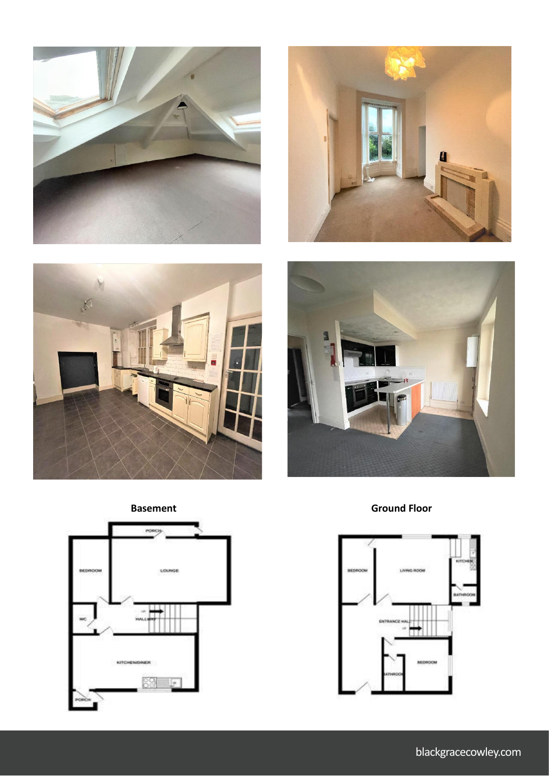









**Basement** Ground Floor